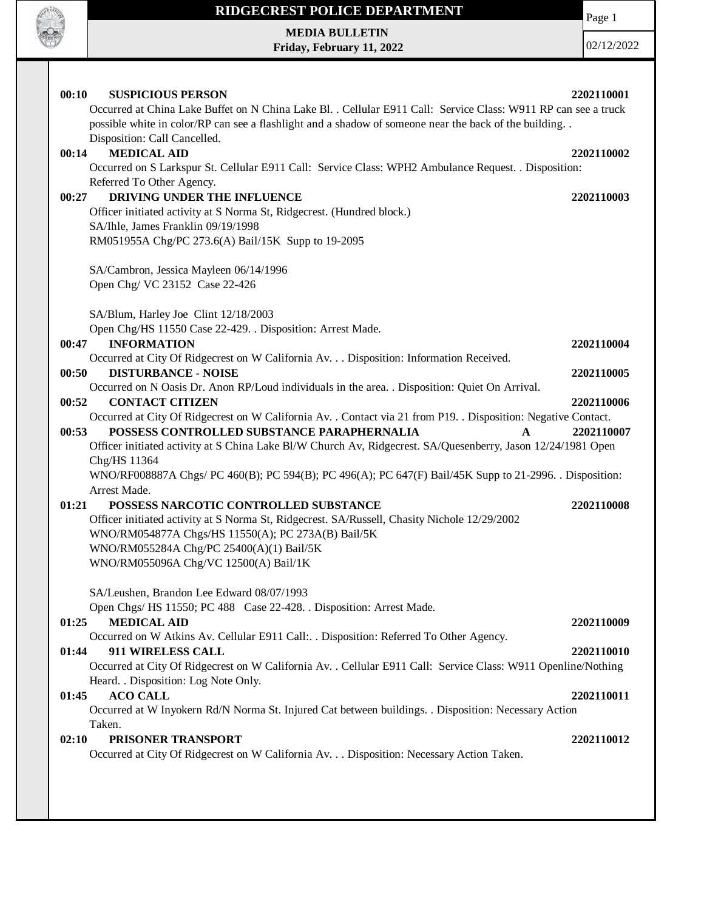

**MEDIA BULLETIN Friday, February 11, 2022**

02/12/2022

Page 1

| <b>MEDICAL AID</b><br>00:14<br>2202110002<br>Occurred on S Larkspur St. Cellular E911 Call: Service Class: WPH2 Ambulance Request. . Disposition:<br>Referred To Other Agency.<br>DRIVING UNDER THE INFLUENCE<br>00:27<br>2202110003<br>Officer initiated activity at S Norma St, Ridgecrest. (Hundred block.)<br>SA/Ihle, James Franklin 09/19/1998<br>RM051955A Chg/PC 273.6(A) Bail/15K Supp to 19-2095<br>SA/Cambron, Jessica Mayleen 06/14/1996<br>Open Chg/VC 23152 Case 22-426<br>SA/Blum, Harley Joe Clint 12/18/2003<br>Open Chg/HS 11550 Case 22-429. . Disposition: Arrest Made.<br><b>INFORMATION</b><br>00:47<br>2202110004<br>Occurred at City Of Ridgecrest on W California Av. Disposition: Information Received.<br><b>DISTURBANCE - NOISE</b><br>00:50<br>2202110005<br>Occurred on N Oasis Dr. Anon RP/Loud individuals in the area. . Disposition: Quiet On Arrival.<br>00:52<br><b>CONTACT CITIZEN</b><br>2202110006<br>Occurred at City Of Ridgecrest on W California Av. . Contact via 21 from P19. . Disposition: Negative Contact.<br>POSSESS CONTROLLED SUBSTANCE PARAPHERNALIA<br>00:53<br>2202110007<br>$\mathbf{A}$<br>Officer initiated activity at S China Lake Bl/W Church Av, Ridgecrest. SA/Quesenberry, Jason 12/24/1981 Open<br>Chg/HS 11364<br>WNO/RF008887A Chgs/ PC 460(B); PC 594(B); PC 496(A); PC 647(F) Bail/45K Supp to 21-2996. Disposition:<br>Arrest Made.<br>01:21<br>POSSESS NARCOTIC CONTROLLED SUBSTANCE<br>2202110008<br>Officer initiated activity at S Norma St, Ridgecrest. SA/Russell, Chasity Nichole 12/29/2002<br>WNO/RM054877A Chgs/HS 11550(A); PC 273A(B) Bail/5K<br>WNO/RM055284A Chg/PC 25400(A)(1) Bail/5K<br>WNO/RM055096A Chg/VC 12500(A) Bail/1K<br>SA/Leushen, Brandon Lee Edward 08/07/1993<br>Open Chgs/ HS 11550; PC 488 Case 22-428. . Disposition: Arrest Made.<br>01:25<br><b>MEDICAL AID</b><br>2202110009<br>Occurred on W Atkins Av. Cellular E911 Call: Disposition: Referred To Other Agency.<br>911 WIRELESS CALL<br>01:44<br>2202110010<br>Occurred at City Of Ridgecrest on W California Av. . Cellular E911 Call: Service Class: W911 Openline/Nothing<br>Heard. . Disposition: Log Note Only.<br><b>ACO CALL</b><br>2202110011<br>01:45<br>Occurred at W Inyokern Rd/N Norma St. Injured Cat between buildings. . Disposition: Necessary Action<br>Taken.<br>PRISONER TRANSPORT<br>02:10<br>2202110012<br>Occurred at City Of Ridgecrest on W California Av. Disposition: Necessary Action Taken. | 00:10<br><b>SUSPICIOUS PERSON</b><br>Occurred at China Lake Buffet on N China Lake Bl. . Cellular E911 Call: Service Class: W911 RP can see a truck<br>possible white in color/RP can see a flashlight and a shadow of someone near the back of the building<br>Disposition: Call Cancelled. | 2202110001 |
|----------------------------------------------------------------------------------------------------------------------------------------------------------------------------------------------------------------------------------------------------------------------------------------------------------------------------------------------------------------------------------------------------------------------------------------------------------------------------------------------------------------------------------------------------------------------------------------------------------------------------------------------------------------------------------------------------------------------------------------------------------------------------------------------------------------------------------------------------------------------------------------------------------------------------------------------------------------------------------------------------------------------------------------------------------------------------------------------------------------------------------------------------------------------------------------------------------------------------------------------------------------------------------------------------------------------------------------------------------------------------------------------------------------------------------------------------------------------------------------------------------------------------------------------------------------------------------------------------------------------------------------------------------------------------------------------------------------------------------------------------------------------------------------------------------------------------------------------------------------------------------------------------------------------------------------------------------------------------------------------------------------------------------------------------------------------------------------------------------------------------------------------------------------------------------------------------------------------------------------------------------------------------------------------------------------------------------------------------------------------------------------------------------------------------------------------------------------------------------------|----------------------------------------------------------------------------------------------------------------------------------------------------------------------------------------------------------------------------------------------------------------------------------------------|------------|
|                                                                                                                                                                                                                                                                                                                                                                                                                                                                                                                                                                                                                                                                                                                                                                                                                                                                                                                                                                                                                                                                                                                                                                                                                                                                                                                                                                                                                                                                                                                                                                                                                                                                                                                                                                                                                                                                                                                                                                                                                                                                                                                                                                                                                                                                                                                                                                                                                                                                                        |                                                                                                                                                                                                                                                                                              |            |
|                                                                                                                                                                                                                                                                                                                                                                                                                                                                                                                                                                                                                                                                                                                                                                                                                                                                                                                                                                                                                                                                                                                                                                                                                                                                                                                                                                                                                                                                                                                                                                                                                                                                                                                                                                                                                                                                                                                                                                                                                                                                                                                                                                                                                                                                                                                                                                                                                                                                                        |                                                                                                                                                                                                                                                                                              |            |
|                                                                                                                                                                                                                                                                                                                                                                                                                                                                                                                                                                                                                                                                                                                                                                                                                                                                                                                                                                                                                                                                                                                                                                                                                                                                                                                                                                                                                                                                                                                                                                                                                                                                                                                                                                                                                                                                                                                                                                                                                                                                                                                                                                                                                                                                                                                                                                                                                                                                                        |                                                                                                                                                                                                                                                                                              |            |
|                                                                                                                                                                                                                                                                                                                                                                                                                                                                                                                                                                                                                                                                                                                                                                                                                                                                                                                                                                                                                                                                                                                                                                                                                                                                                                                                                                                                                                                                                                                                                                                                                                                                                                                                                                                                                                                                                                                                                                                                                                                                                                                                                                                                                                                                                                                                                                                                                                                                                        |                                                                                                                                                                                                                                                                                              |            |
|                                                                                                                                                                                                                                                                                                                                                                                                                                                                                                                                                                                                                                                                                                                                                                                                                                                                                                                                                                                                                                                                                                                                                                                                                                                                                                                                                                                                                                                                                                                                                                                                                                                                                                                                                                                                                                                                                                                                                                                                                                                                                                                                                                                                                                                                                                                                                                                                                                                                                        |                                                                                                                                                                                                                                                                                              |            |
|                                                                                                                                                                                                                                                                                                                                                                                                                                                                                                                                                                                                                                                                                                                                                                                                                                                                                                                                                                                                                                                                                                                                                                                                                                                                                                                                                                                                                                                                                                                                                                                                                                                                                                                                                                                                                                                                                                                                                                                                                                                                                                                                                                                                                                                                                                                                                                                                                                                                                        |                                                                                                                                                                                                                                                                                              |            |
|                                                                                                                                                                                                                                                                                                                                                                                                                                                                                                                                                                                                                                                                                                                                                                                                                                                                                                                                                                                                                                                                                                                                                                                                                                                                                                                                                                                                                                                                                                                                                                                                                                                                                                                                                                                                                                                                                                                                                                                                                                                                                                                                                                                                                                                                                                                                                                                                                                                                                        |                                                                                                                                                                                                                                                                                              |            |
|                                                                                                                                                                                                                                                                                                                                                                                                                                                                                                                                                                                                                                                                                                                                                                                                                                                                                                                                                                                                                                                                                                                                                                                                                                                                                                                                                                                                                                                                                                                                                                                                                                                                                                                                                                                                                                                                                                                                                                                                                                                                                                                                                                                                                                                                                                                                                                                                                                                                                        |                                                                                                                                                                                                                                                                                              |            |
|                                                                                                                                                                                                                                                                                                                                                                                                                                                                                                                                                                                                                                                                                                                                                                                                                                                                                                                                                                                                                                                                                                                                                                                                                                                                                                                                                                                                                                                                                                                                                                                                                                                                                                                                                                                                                                                                                                                                                                                                                                                                                                                                                                                                                                                                                                                                                                                                                                                                                        |                                                                                                                                                                                                                                                                                              |            |
|                                                                                                                                                                                                                                                                                                                                                                                                                                                                                                                                                                                                                                                                                                                                                                                                                                                                                                                                                                                                                                                                                                                                                                                                                                                                                                                                                                                                                                                                                                                                                                                                                                                                                                                                                                                                                                                                                                                                                                                                                                                                                                                                                                                                                                                                                                                                                                                                                                                                                        |                                                                                                                                                                                                                                                                                              |            |
|                                                                                                                                                                                                                                                                                                                                                                                                                                                                                                                                                                                                                                                                                                                                                                                                                                                                                                                                                                                                                                                                                                                                                                                                                                                                                                                                                                                                                                                                                                                                                                                                                                                                                                                                                                                                                                                                                                                                                                                                                                                                                                                                                                                                                                                                                                                                                                                                                                                                                        |                                                                                                                                                                                                                                                                                              |            |
|                                                                                                                                                                                                                                                                                                                                                                                                                                                                                                                                                                                                                                                                                                                                                                                                                                                                                                                                                                                                                                                                                                                                                                                                                                                                                                                                                                                                                                                                                                                                                                                                                                                                                                                                                                                                                                                                                                                                                                                                                                                                                                                                                                                                                                                                                                                                                                                                                                                                                        |                                                                                                                                                                                                                                                                                              |            |
|                                                                                                                                                                                                                                                                                                                                                                                                                                                                                                                                                                                                                                                                                                                                                                                                                                                                                                                                                                                                                                                                                                                                                                                                                                                                                                                                                                                                                                                                                                                                                                                                                                                                                                                                                                                                                                                                                                                                                                                                                                                                                                                                                                                                                                                                                                                                                                                                                                                                                        |                                                                                                                                                                                                                                                                                              |            |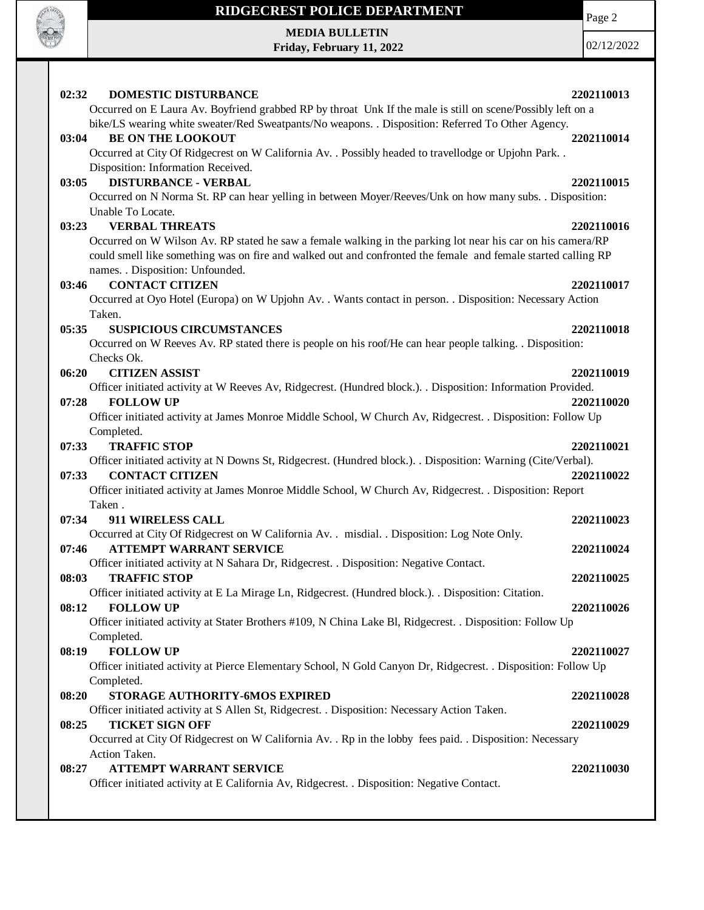

**MEDIA BULLETIN Friday, February 11, 2022**

02/12/2022

Page 2

#### **02:32 DOMESTIC DISTURBANCE 2202110013** Occurred on E Laura Av. Boyfriend grabbed RP by throat Unk If the male is still on scene/Possibly left on a bike/LS wearing white sweater/Red Sweatpants/No weapons. . Disposition: Referred To Other Agency. **03:04 BE ON THE LOOKOUT 2202110014** Occurred at City Of Ridgecrest on W California Av. . Possibly headed to travellodge or Upjohn Park. . Disposition: Information Received. **03:05 DISTURBANCE - VERBAL 2202110015** Occurred on N Norma St. RP can hear yelling in between Moyer/Reeves/Unk on how many subs. . Disposition: Unable To Locate. **03:23 VERBAL THREATS 2202110016** Occurred on W Wilson Av. RP stated he saw a female walking in the parking lot near his car on his camera/RP could smell like something was on fire and walked out and confronted the female and female started calling RP names. . Disposition: Unfounded. **03:46 CONTACT CITIZEN 2202110017** Occurred at Oyo Hotel (Europa) on W Upjohn Av. . Wants contact in person. . Disposition: Necessary Action Taken. **05:35 SUSPICIOUS CIRCUMSTANCES 2202110018** Occurred on W Reeves Av. RP stated there is people on his roof/He can hear people talking. . Disposition: Checks Ok. **06:20 CITIZEN ASSIST 2202110019** Officer initiated activity at W Reeves Av, Ridgecrest. (Hundred block.). . Disposition: Information Provided. **07:28 FOLLOW UP 2202110020** Officer initiated activity at James Monroe Middle School, W Church Av, Ridgecrest. . Disposition: Follow Up Completed. **07:33 TRAFFIC STOP 2202110021** Officer initiated activity at N Downs St, Ridgecrest. (Hundred block.). . Disposition: Warning (Cite/Verbal). **07:33 CONTACT CITIZEN 2202110022** Officer initiated activity at James Monroe Middle School, W Church Av, Ridgecrest. . Disposition: Report Taken . **07:34 911 WIRELESS CALL 2202110023** Occurred at City Of Ridgecrest on W California Av. . misdial. . Disposition: Log Note Only. **07:46 ATTEMPT WARRANT SERVICE 2202110024** Officer initiated activity at N Sahara Dr, Ridgecrest. . Disposition: Negative Contact. **08:03 TRAFFIC STOP 2202110025** Officer initiated activity at E La Mirage Ln, Ridgecrest. (Hundred block.). . Disposition: Citation. **08:12 FOLLOW UP 2202110026** Officer initiated activity at Stater Brothers #109, N China Lake Bl, Ridgecrest. . Disposition: Follow Up Completed. **08:19 FOLLOW UP 2202110027** Officer initiated activity at Pierce Elementary School, N Gold Canyon Dr, Ridgecrest. . Disposition: Follow Up Completed. **08:20 STORAGE AUTHORITY-6MOS EXPIRED 2202110028** Officer initiated activity at S Allen St, Ridgecrest. . Disposition: Necessary Action Taken. **08:25 TICKET SIGN OFF 2202110029** Occurred at City Of Ridgecrest on W California Av. . Rp in the lobby fees paid. . Disposition: Necessary Action Taken. **08:27 ATTEMPT WARRANT SERVICE 2202110030** Officer initiated activity at E California Av, Ridgecrest. . Disposition: Negative Contact.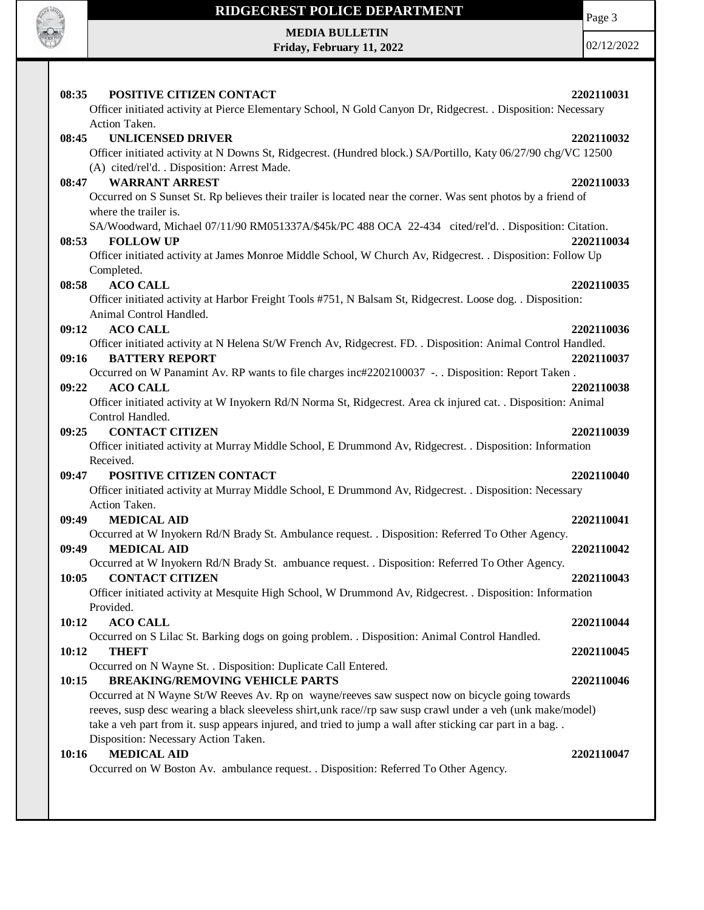

Page 3

**MEDIA BULLETIN Friday, February 11, 2022**

| 08:35<br>POSITIVE CITIZEN CONTACT                                                                                                  | 2202110031 |
|------------------------------------------------------------------------------------------------------------------------------------|------------|
| Officer initiated activity at Pierce Elementary School, N Gold Canyon Dr, Ridgecrest. . Disposition: Necessary                     |            |
| Action Taken.                                                                                                                      |            |
| <b>UNLICENSED DRIVER</b><br>08:45                                                                                                  | 2202110032 |
| Officer initiated activity at N Downs St, Ridgecrest. (Hundred block.) SA/Portillo, Katy 06/27/90 chg/VC 12500                     |            |
| (A) cited/rel'd. . Disposition: Arrest Made.                                                                                       |            |
| 08:47 WARRANT ARREST                                                                                                               | 2202110033 |
| Occurred on S Sunset St. Rp believes their trailer is located near the corner. Was sent photos by a friend of                      |            |
| where the trailer is.                                                                                                              |            |
| SA/Woodward, Michael 07/11/90 RM051337A/\$45k/PC 488 OCA 22-434 cited/rel'd. . Disposition: Citation.                              |            |
| <b>FOLLOW UP</b><br>08:53                                                                                                          | 2202110034 |
| Officer initiated activity at James Monroe Middle School, W Church Av, Ridgecrest. . Disposition: Follow Up                        |            |
| Completed.                                                                                                                         |            |
| <b>ACO CALL</b><br>08:58                                                                                                           | 2202110035 |
| Officer initiated activity at Harbor Freight Tools #751, N Balsam St, Ridgecrest. Loose dog. . Disposition:                        |            |
| Animal Control Handled.                                                                                                            |            |
| 09:12 ACO CALL                                                                                                                     | 2202110036 |
| Officer initiated activity at N Helena St/W French Av, Ridgecrest. FD. . Disposition: Animal Control Handled.                      |            |
| 09:16<br><b>BATTERY REPORT</b>                                                                                                     | 2202110037 |
| Occurred on W Panamint Av. RP wants to file charges inc#2202100037 -. . Disposition: Report Taken.                                 |            |
| 09:22<br><b>ACO CALL</b>                                                                                                           | 2202110038 |
| Officer initiated activity at W Inyokern Rd/N Norma St, Ridgecrest. Area ck injured cat. . Disposition: Animal<br>Control Handled. |            |
| <b>CONTACT CITIZEN</b><br>09:25                                                                                                    | 2202110039 |
| Officer initiated activity at Murray Middle School, E Drummond Av, Ridgecrest. . Disposition: Information                          |            |
| Received.                                                                                                                          |            |
| POSITIVE CITIZEN CONTACT<br>09:47                                                                                                  | 2202110040 |
| Officer initiated activity at Murray Middle School, E Drummond Av, Ridgecrest. . Disposition: Necessary                            |            |
| Action Taken.                                                                                                                      |            |
| <b>MEDICAL AID</b><br>09:49                                                                                                        | 2202110041 |
| Occurred at W Inyokern Rd/N Brady St. Ambulance request. . Disposition: Referred To Other Agency.                                  |            |
| <b>MEDICAL AID</b><br>09:49                                                                                                        | 2202110042 |
| Occurred at W Inyokern Rd/N Brady St. ambuance request. . Disposition: Referred To Other Agency.                                   |            |
| <b>CONTACT CITIZEN</b><br>10:05                                                                                                    | 2202110043 |
| Officer initiated activity at Mesquite High School, W Drummond Av, Ridgecrest. . Disposition: Information                          |            |
| Provided.                                                                                                                          |            |
| 10:12<br><b>ACO CALL</b>                                                                                                           | 2202110044 |
| Occurred on S Lilac St. Barking dogs on going problem. . Disposition: Animal Control Handled.                                      |            |
| 10:12<br><b>THEFT</b>                                                                                                              | 2202110045 |
| Occurred on N Wayne St. . Disposition: Duplicate Call Entered.                                                                     |            |
| <b>BREAKING/REMOVING VEHICLE PARTS</b><br>10:15                                                                                    | 2202110046 |
| Occurred at N Wayne St/W Reeves Av. Rp on wayne/reeves saw suspect now on bicycle going towards                                    |            |
| reeves, susp desc wearing a black sleeveless shirt, unk race//rp saw susp crawl under a veh (unk make/model)                       |            |
| take a veh part from it. susp appears injured, and tried to jump a wall after sticking car part in a bag                           |            |
| Disposition: Necessary Action Taken.                                                                                               |            |
| <b>MEDICAL AID</b><br>10:16                                                                                                        | 2202110047 |
| Occurred on W Boston Av. ambulance request. . Disposition: Referred To Other Agency.                                               |            |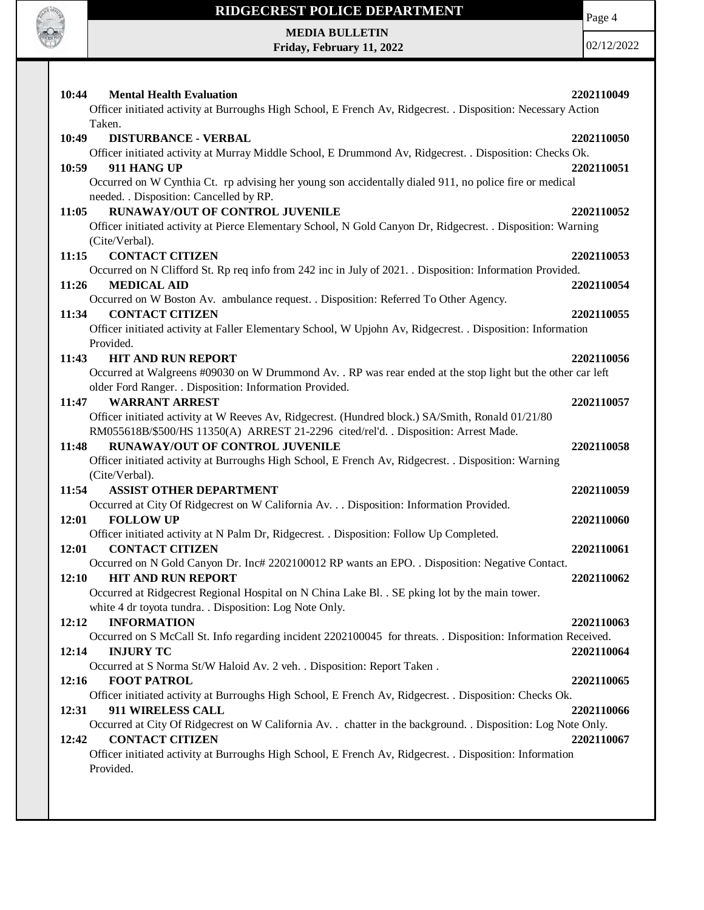

Page 4

**MEDIA BULLETIN Friday, February 11, 2022**

| <b>Mental Health Evaluation</b><br>10:44                                                                                                          | 2202110049 |
|---------------------------------------------------------------------------------------------------------------------------------------------------|------------|
| Officer initiated activity at Burroughs High School, E French Av, Ridgecrest. . Disposition: Necessary Action                                     |            |
| Taken.                                                                                                                                            |            |
| 10:49<br><b>DISTURBANCE - VERBAL</b>                                                                                                              | 2202110050 |
| Officer initiated activity at Murray Middle School, E Drummond Av, Ridgecrest. . Disposition: Checks Ok.                                          |            |
| 911 HANG UP<br>10:59                                                                                                                              | 2202110051 |
| Occurred on W Cynthia Ct. rp advising her young son accidentally dialed 911, no police fire or medical<br>needed. . Disposition: Cancelled by RP. |            |
| <b>RUNAWAY/OUT OF CONTROL JUVENILE</b><br>11:05                                                                                                   | 2202110052 |
| Officer initiated activity at Pierce Elementary School, N Gold Canyon Dr, Ridgecrest. . Disposition: Warning                                      |            |
| (Cite/Verbal).                                                                                                                                    |            |
| <b>CONTACT CITIZEN</b><br>11:15                                                                                                                   | 2202110053 |
| Occurred on N Clifford St. Rp req info from 242 inc in July of 2021. Disposition: Information Provided.                                           |            |
| 11:26<br><b>MEDICAL AID</b>                                                                                                                       | 2202110054 |
| Occurred on W Boston Av. ambulance request. . Disposition: Referred To Other Agency.                                                              |            |
| 11:34<br><b>CONTACT CITIZEN</b>                                                                                                                   | 2202110055 |
| Officer initiated activity at Faller Elementary School, W Upjohn Av, Ridgecrest. . Disposition: Information                                       |            |
| Provided.                                                                                                                                         |            |
| <b>HIT AND RUN REPORT</b><br>11:43                                                                                                                | 2202110056 |
| Occurred at Walgreens #09030 on W Drummond Av. . RP was rear ended at the stop light but the other car left                                       |            |
| older Ford Ranger. . Disposition: Information Provided.                                                                                           |            |
| <b>WARRANT ARREST</b><br>11:47                                                                                                                    | 2202110057 |
| Officer initiated activity at W Reeves Av, Ridgecrest. (Hundred block.) SA/Smith, Ronald 01/21/80                                                 |            |
| RM055618B/\$500/HS 11350(A) ARREST 21-2296 cited/rel'd. . Disposition: Arrest Made.<br>RUNAWAY/OUT OF CONTROL JUVENILE                            |            |
| 11:48<br>Officer initiated activity at Burroughs High School, E French Av, Ridgecrest. . Disposition: Warning                                     | 2202110058 |
| (Cite/Verbal).                                                                                                                                    |            |
| <b>ASSIST OTHER DEPARTMENT</b><br>11:54                                                                                                           | 2202110059 |
| Occurred at City Of Ridgecrest on W California Av. Disposition: Information Provided.                                                             |            |
| 12:01<br><b>FOLLOW UP</b>                                                                                                                         | 2202110060 |
| Officer initiated activity at N Palm Dr, Ridgecrest. . Disposition: Follow Up Completed.                                                          |            |
| <b>CONTACT CITIZEN</b><br>12:01                                                                                                                   | 2202110061 |
| Occurred on N Gold Canyon Dr. Inc# 2202100012 RP wants an EPO. . Disposition: Negative Contact.                                                   |            |
| <b>HIT AND RUN REPORT</b><br>12:10                                                                                                                | 2202110062 |
| Occurred at Ridgecrest Regional Hospital on N China Lake Bl. . SE pking lot by the main tower.                                                    |            |
| white 4 dr toyota tundra. . Disposition: Log Note Only.                                                                                           |            |
| <b>INFORMATION</b><br>12:12                                                                                                                       | 2202110063 |
| Occurred on S McCall St. Info regarding incident 2202100045 for threats. . Disposition: Information Received.                                     |            |
| <b>INJURY TC</b><br>12:14                                                                                                                         | 2202110064 |
| Occurred at S Norma St/W Haloid Av. 2 veh. . Disposition: Report Taken.                                                                           |            |
| 12:16<br><b>FOOT PATROL</b>                                                                                                                       | 2202110065 |
| Officer initiated activity at Burroughs High School, E French Av, Ridgecrest. . Disposition: Checks Ok.                                           |            |
| 12:31<br>911 WIRELESS CALL                                                                                                                        | 2202110066 |
| Occurred at City Of Ridgecrest on W California Av. . chatter in the background. . Disposition: Log Note Only.<br><b>CONTACT CITIZEN</b><br>12:42  | 2202110067 |
| Officer initiated activity at Burroughs High School, E French Av, Ridgecrest. . Disposition: Information                                          |            |
| Provided.                                                                                                                                         |            |
|                                                                                                                                                   |            |
|                                                                                                                                                   |            |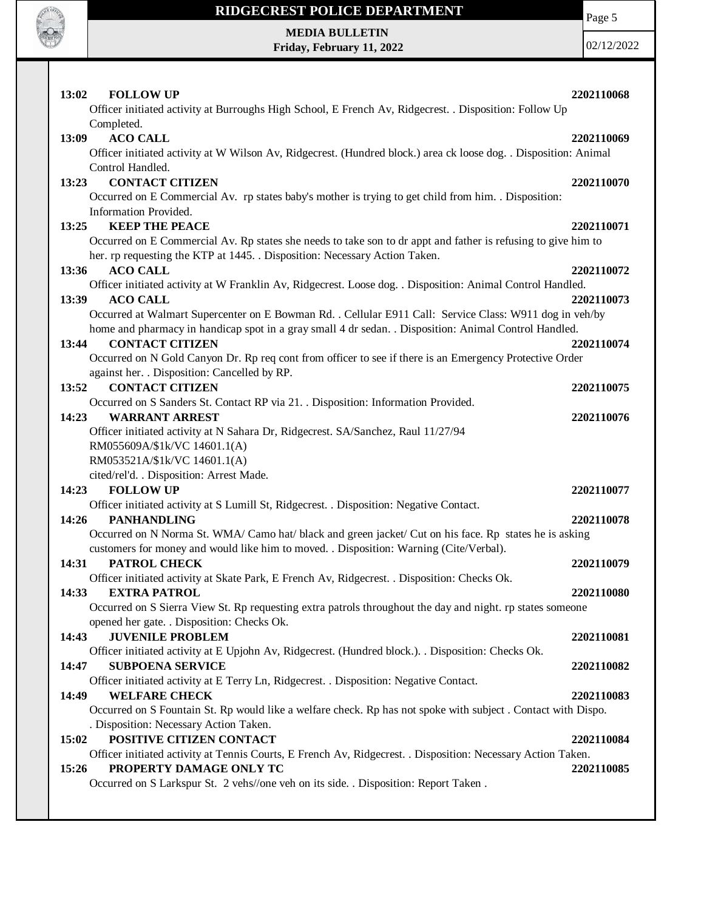

Page 5

**MEDIA BULLETIN Friday, February 11, 2022**

| 13:02<br><b>FOLLOW UP</b>                                                                                                                                                                        | 2202110068 |
|--------------------------------------------------------------------------------------------------------------------------------------------------------------------------------------------------|------------|
| Officer initiated activity at Burroughs High School, E French Av, Ridgecrest. . Disposition: Follow Up                                                                                           |            |
| Completed.                                                                                                                                                                                       |            |
| 13:09<br><b>ACO CALL</b><br>Officer initiated activity at W Wilson Av, Ridgecrest. (Hundred block.) area ck loose dog. . Disposition: Animal                                                     | 2202110069 |
| Control Handled.                                                                                                                                                                                 |            |
| <b>CONTACT CITIZEN</b><br>13:23                                                                                                                                                                  | 2202110070 |
| Occurred on E Commercial Av. rp states baby's mother is trying to get child from him. . Disposition:                                                                                             |            |
| Information Provided.                                                                                                                                                                            |            |
| <b>KEEP THE PEACE</b><br>13:25                                                                                                                                                                   | 2202110071 |
| Occurred on E Commercial Av. Rp states she needs to take son to dr appt and father is refusing to give him to                                                                                    |            |
| her. rp requesting the KTP at 1445. Disposition: Necessary Action Taken.                                                                                                                         |            |
| 13:36<br><b>ACO CALL</b>                                                                                                                                                                         | 2202110072 |
| Officer initiated activity at W Franklin Av, Ridgecrest. Loose dog. . Disposition: Animal Control Handled.                                                                                       |            |
| <b>ACO CALL</b><br>13:39                                                                                                                                                                         | 2202110073 |
| Occurred at Walmart Supercenter on E Bowman Rd. . Cellular E911 Call: Service Class: W911 dog in veh/by                                                                                          |            |
| home and pharmacy in handicap spot in a gray small 4 dr sedan. . Disposition: Animal Control Handled.                                                                                            |            |
| <b>CONTACT CITIZEN</b><br>13:44                                                                                                                                                                  | 2202110074 |
| Occurred on N Gold Canyon Dr. Rp req cont from officer to see if there is an Emergency Protective Order                                                                                          |            |
| against her. . Disposition: Cancelled by RP.                                                                                                                                                     |            |
| <b>CONTACT CITIZEN</b><br>13:52                                                                                                                                                                  | 2202110075 |
| Occurred on S Sanders St. Contact RP via 21. . Disposition: Information Provided.                                                                                                                |            |
| 14:23<br><b>WARRANT ARREST</b>                                                                                                                                                                   | 2202110076 |
| Officer initiated activity at N Sahara Dr, Ridgecrest. SA/Sanchez, Raul 11/27/94                                                                                                                 |            |
| RM055609A/\$1k/VC 14601.1(A)                                                                                                                                                                     |            |
| RM053521A/\$1k/VC 14601.1(A)                                                                                                                                                                     |            |
| cited/rel'd. . Disposition: Arrest Made.                                                                                                                                                         |            |
| <b>FOLLOW UP</b><br>14:23                                                                                                                                                                        | 2202110077 |
| Officer initiated activity at S Lumill St, Ridgecrest. . Disposition: Negative Contact.                                                                                                          |            |
| <b>PANHANDLING</b><br>14:26                                                                                                                                                                      | 2202110078 |
| Occurred on N Norma St. WMA/ Camo hat/ black and green jacket/ Cut on his face. Rp states he is asking<br>customers for money and would like him to moved. . Disposition: Warning (Cite/Verbal). |            |
| <b>PATROL CHECK</b><br>14:31                                                                                                                                                                     | 2202110079 |
| Officer initiated activity at Skate Park, E French Av, Ridgecrest. . Disposition: Checks Ok.                                                                                                     |            |
| 14:33<br><b>EXTRA PATROL</b>                                                                                                                                                                     | 2202110080 |
| Occurred on S Sierra View St. Rp requesting extra patrols throughout the day and night. rp states someone                                                                                        |            |
| opened her gate. . Disposition: Checks Ok.                                                                                                                                                       |            |
| 14:43<br><b>JUVENILE PROBLEM</b>                                                                                                                                                                 | 2202110081 |
| Officer initiated activity at E Upjohn Av, Ridgecrest. (Hundred block.). . Disposition: Checks Ok.                                                                                               |            |
| <b>SUBPOENA SERVICE</b><br>14:47                                                                                                                                                                 | 2202110082 |
| Officer initiated activity at E Terry Ln, Ridgecrest. . Disposition: Negative Contact.                                                                                                           |            |
| <b>WELFARE CHECK</b><br>14:49                                                                                                                                                                    | 2202110083 |
| Occurred on S Fountain St. Rp would like a welfare check. Rp has not spoke with subject. Contact with Dispo.                                                                                     |            |
| . Disposition: Necessary Action Taken.                                                                                                                                                           |            |
| POSITIVE CITIZEN CONTACT<br>15:02                                                                                                                                                                | 2202110084 |
| Officer initiated activity at Tennis Courts, E French Av, Ridgecrest. . Disposition: Necessary Action Taken.                                                                                     |            |
| PROPERTY DAMAGE ONLY TC<br>15:26                                                                                                                                                                 | 2202110085 |
| Occurred on S Larkspur St. 2 vehs//one veh on its side. . Disposition: Report Taken.                                                                                                             |            |
|                                                                                                                                                                                                  |            |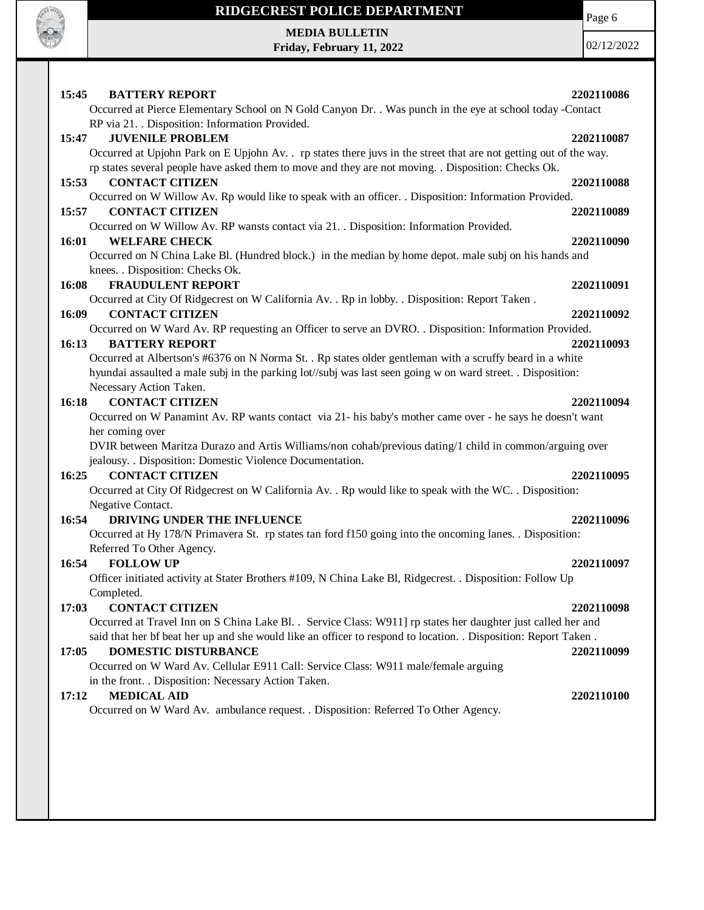

Page 6

**MEDIA BULLETIN Friday, February 11, 2022**

| 15:45<br><b>BATTERY REPORT</b>                                                                                                | 2202110086 |
|-------------------------------------------------------------------------------------------------------------------------------|------------|
| Occurred at Pierce Elementary School on N Gold Canyon Dr. . Was punch in the eye at school today -Contact                     |            |
| RP via 21. . Disposition: Information Provided.                                                                               |            |
| <b>JUVENILE PROBLEM</b><br>15:47                                                                                              | 2202110087 |
| Occurred at Upjohn Park on E Upjohn Av. . rp states there juvs in the street that are not getting out of the way.             |            |
| rp states several people have asked them to move and they are not moving. . Disposition: Checks Ok.                           |            |
| <b>CONTACT CITIZEN</b><br>15:53                                                                                               | 2202110088 |
| Occurred on W Willow Av. Rp would like to speak with an officer. . Disposition: Information Provided.                         |            |
| 15:57<br><b>CONTACT CITIZEN</b>                                                                                               | 2202110089 |
| Occurred on W Willow Av. RP wansts contact via 21. . Disposition: Information Provided.<br>16:01                              |            |
| <b>WELFARE CHECK</b><br>Occurred on N China Lake Bl. (Hundred block.) in the median by home depot. male subj on his hands and | 2202110090 |
| knees. . Disposition: Checks Ok.                                                                                              |            |
| 16:08<br><b>FRAUDULENT REPORT</b>                                                                                             | 2202110091 |
| Occurred at City Of Ridgecrest on W California Av. . Rp in lobby. . Disposition: Report Taken.                                |            |
| <b>CONTACT CITIZEN</b><br>16:09                                                                                               | 2202110092 |
| Occurred on W Ward Av. RP requesting an Officer to serve an DVRO. . Disposition: Information Provided.                        |            |
| <b>BATTERY REPORT</b><br>16:13                                                                                                | 2202110093 |
| Occurred at Albertson's #6376 on N Norma St. . Rp states older gentleman with a scruffy beard in a white                      |            |
| hyundai assaulted a male subj in the parking lot//subj was last seen going w on ward street. . Disposition:                   |            |
| Necessary Action Taken.                                                                                                       |            |
| <b>CONTACT CITIZEN</b><br>16:18                                                                                               | 2202110094 |
| Occurred on W Panamint Av. RP wants contact via 21- his baby's mother came over - he says he doesn't want                     |            |
| her coming over                                                                                                               |            |
| DVIR between Maritza Durazo and Artis Williams/non cohab/previous dating/1 child in common/arguing over                       |            |
| jealousy. . Disposition: Domestic Violence Documentation.                                                                     |            |
| 16:25<br><b>CONTACT CITIZEN</b>                                                                                               | 2202110095 |
| Occurred at City Of Ridgecrest on W California Av. . Rp would like to speak with the WC. . Disposition:                       |            |
| Negative Contact.                                                                                                             |            |
| 16:54<br>DRIVING UNDER THE INFLUENCE                                                                                          | 2202110096 |
| Occurred at Hy 178/N Primavera St. rp states tan ford f150 going into the oncoming lanes. . Disposition:                      |            |
| Referred To Other Agency.                                                                                                     |            |
| <b>FOLLOW UP</b><br>16:54                                                                                                     | 2202110097 |
| Officer initiated activity at Stater Brothers #109, N China Lake Bl, Ridgecrest. . Disposition: Follow Up                     |            |
| Completed.                                                                                                                    |            |
| 17:03<br><b>CONTACT CITIZEN</b>                                                                                               | 2202110098 |
| Occurred at Travel Inn on S China Lake Bl. . Service Class: W911] rp states her daughter just called her and                  |            |
| said that her bf beat her up and she would like an officer to respond to location. . Disposition: Report Taken.               |            |
| 17:05<br><b>DOMESTIC DISTURBANCE</b>                                                                                          | 2202110099 |
| Occurred on W Ward Av. Cellular E911 Call: Service Class: W911 male/female arguing                                            |            |
| in the front. . Disposition: Necessary Action Taken.                                                                          |            |
| <b>MEDICAL AID</b><br>17:12                                                                                                   | 2202110100 |
| Occurred on W Ward Av. ambulance request. . Disposition: Referred To Other Agency.                                            |            |
|                                                                                                                               |            |
|                                                                                                                               |            |
|                                                                                                                               |            |
|                                                                                                                               |            |
|                                                                                                                               |            |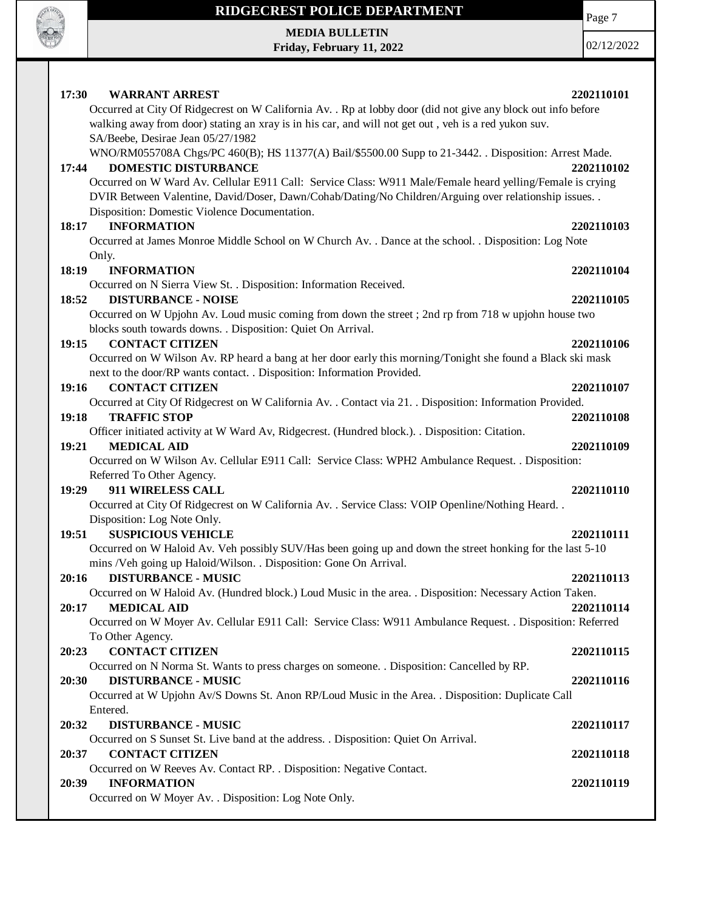

Page 7

**MEDIA BULLETIN Friday, February 11, 2022**

| 17:30<br><b>WARRANT ARREST</b>                                                                                | 2202110101 |
|---------------------------------------------------------------------------------------------------------------|------------|
| Occurred at City Of Ridgecrest on W California Av. . Rp at lobby door (did not give any block out info before |            |
| walking away from door) stating an xray is in his car, and will not get out, veh is a red yukon suv.          |            |
| SA/Beebe, Desirae Jean 05/27/1982                                                                             |            |
| WNO/RM055708A Chgs/PC 460(B); HS 11377(A) Bail/\$5500.00 Supp to 21-3442. Disposition: Arrest Made.           |            |
| <b>DOMESTIC DISTURBANCE</b><br>17:44                                                                          | 2202110102 |
| Occurred on W Ward Av. Cellular E911 Call: Service Class: W911 Male/Female heard yelling/Female is crying     |            |
| DVIR Between Valentine, David/Doser, Dawn/Cohab/Dating/No Children/Arguing over relationship issues. .        |            |
| Disposition: Domestic Violence Documentation.                                                                 |            |
| <b>INFORMATION</b><br>18:17                                                                                   | 2202110103 |
| Occurred at James Monroe Middle School on W Church Av. . Dance at the school. . Disposition: Log Note         |            |
| Only.<br>18:19<br><b>INFORMATION</b>                                                                          |            |
| Occurred on N Sierra View St. . Disposition: Information Received.                                            | 2202110104 |
| 18:52<br><b>DISTURBANCE - NOISE</b>                                                                           | 2202110105 |
| Occurred on W Upjohn Av. Loud music coming from down the street; 2nd rp from 718 w upjohn house two           |            |
| blocks south towards downs. . Disposition: Quiet On Arrival.                                                  |            |
| <b>CONTACT CITIZEN</b><br>19:15                                                                               | 2202110106 |
| Occurred on W Wilson Av. RP heard a bang at her door early this morning/Tonight she found a Black ski mask    |            |
| next to the door/RP wants contact. . Disposition: Information Provided.                                       |            |
| <b>CONTACT CITIZEN</b><br>19:16                                                                               | 2202110107 |
| Occurred at City Of Ridgecrest on W California Av. . Contact via 21. . Disposition: Information Provided.     |            |
| <b>TRAFFIC STOP</b><br>19:18                                                                                  | 2202110108 |
| Officer initiated activity at W Ward Av, Ridgecrest. (Hundred block.). . Disposition: Citation.               |            |
| 19:21<br><b>MEDICAL AID</b>                                                                                   | 2202110109 |
| Occurred on W Wilson Av. Cellular E911 Call: Service Class: WPH2 Ambulance Request. . Disposition:            |            |
| Referred To Other Agency.                                                                                     |            |
|                                                                                                               |            |
| 911 WIRELESS CALL<br>19:29                                                                                    | 2202110110 |
| Occurred at City Of Ridgecrest on W California Av. . Service Class: VOIP Openline/Nothing Heard. .            |            |
| Disposition: Log Note Only.                                                                                   |            |
| <b>SUSPICIOUS VEHICLE</b><br>19:51                                                                            | 2202110111 |
| Occurred on W Haloid Av. Veh possibly SUV/Has been going up and down the street honking for the last 5-10     |            |
| mins /Veh going up Haloid/Wilson. . Disposition: Gone On Arrival.                                             |            |
| 20:16<br><b>DISTURBANCE - MUSIC</b>                                                                           | 2202110113 |
| Occurred on W Haloid Av. (Hundred block.) Loud Music in the area. . Disposition: Necessary Action Taken.      |            |
| <b>MEDICAL AID</b><br>20:17                                                                                   | 2202110114 |
| Occurred on W Moyer Av. Cellular E911 Call: Service Class: W911 Ambulance Request. . Disposition: Referred    |            |
| To Other Agency.                                                                                              |            |
| <b>CONTACT CITIZEN</b><br>20:23                                                                               | 2202110115 |
| Occurred on N Norma St. Wants to press charges on someone. . Disposition: Cancelled by RP.                    |            |
| 20:30<br><b>DISTURBANCE - MUSIC</b>                                                                           | 2202110116 |
| Occurred at W Upjohn Av/S Downs St. Anon RP/Loud Music in the Area. . Disposition: Duplicate Call             |            |
| Entered.                                                                                                      |            |
| <b>DISTURBANCE - MUSIC</b><br>20:32                                                                           | 2202110117 |
| Occurred on S Sunset St. Live band at the address. . Disposition: Quiet On Arrival.                           |            |
| <b>CONTACT CITIZEN</b><br>20:37                                                                               | 2202110118 |
| Occurred on W Reeves Av. Contact RP. . Disposition: Negative Contact.                                         |            |
| <b>INFORMATION</b><br>20:39<br>Occurred on W Moyer Av. . Disposition: Log Note Only.                          | 2202110119 |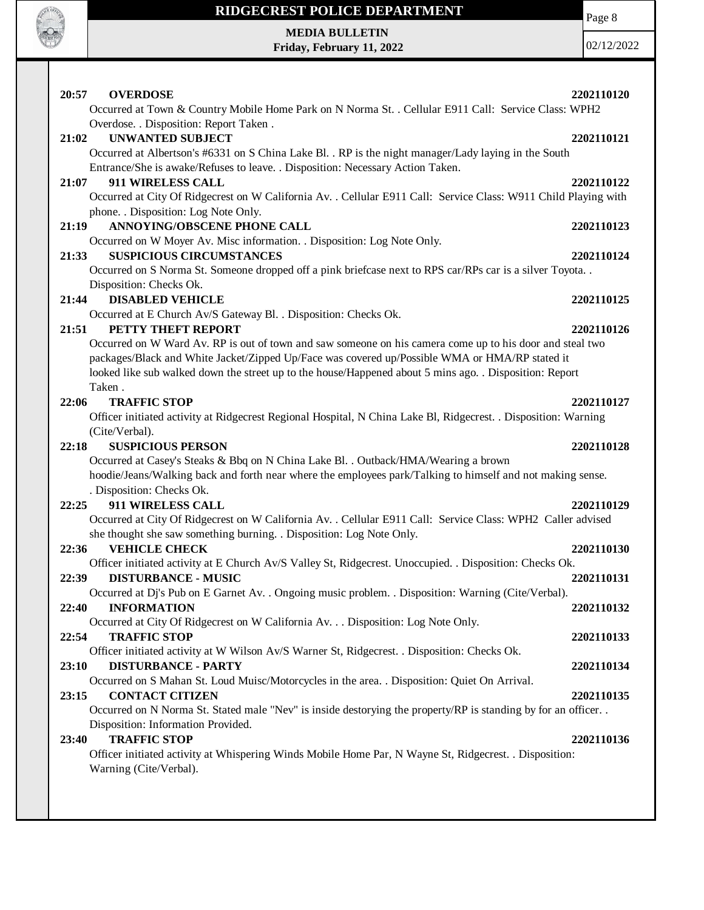

**MEDIA BULLETIN Friday, February 11, 2022** Page 8

| 20:57<br><b>OVERDOSE</b>                                                                                        | 2202110120 |
|-----------------------------------------------------------------------------------------------------------------|------------|
| Occurred at Town & Country Mobile Home Park on N Norma St. . Cellular E911 Call: Service Class: WPH2            |            |
| Overdose. . Disposition: Report Taken.                                                                          |            |
| <b>UNWANTED SUBJECT</b><br>21:02                                                                                | 2202110121 |
| Occurred at Albertson's #6331 on S China Lake Bl. . RP is the night manager/Lady laying in the South            |            |
| Entrance/She is awake/Refuses to leave. . Disposition: Necessary Action Taken.                                  |            |
| 911 WIRELESS CALL<br>21:07                                                                                      | 2202110122 |
| Occurred at City Of Ridgecrest on W California Av. . Cellular E911 Call: Service Class: W911 Child Playing with |            |
| phone. . Disposition: Log Note Only.                                                                            |            |
| <b>ANNOYING/OBSCENE PHONE CALL</b><br>21:19                                                                     | 2202110123 |
| Occurred on W Moyer Av. Misc information. . Disposition: Log Note Only.                                         |            |
| <b>SUSPICIOUS CIRCUMSTANCES</b><br>21:33                                                                        | 2202110124 |
| Occurred on S Norma St. Someone dropped off a pink briefcase next to RPS car/RPs car is a silver Toyota         |            |
| Disposition: Checks Ok.                                                                                         |            |
| <b>DISABLED VEHICLE</b><br>21:44                                                                                | 2202110125 |
| Occurred at E Church Av/S Gateway Bl. . Disposition: Checks Ok.                                                 |            |
| 21:51<br>PETTY THEFT REPORT                                                                                     | 2202110126 |
| Occurred on W Ward Av. RP is out of town and saw someone on his camera come up to his door and steal two        |            |
| packages/Black and White Jacket/Zipped Up/Face was covered up/Possible WMA or HMA/RP stated it                  |            |
| looked like sub walked down the street up to the house/Happened about 5 mins ago. . Disposition: Report         |            |
| Taken.                                                                                                          |            |
| 22:06<br><b>TRAFFIC STOP</b>                                                                                    | 2202110127 |
| Officer initiated activity at Ridgecrest Regional Hospital, N China Lake Bl, Ridgecrest. . Disposition: Warning |            |
| (Cite/Verbal).                                                                                                  |            |
| <b>SUSPICIOUS PERSON</b><br>22:18                                                                               |            |
|                                                                                                                 | 2202110128 |
| Occurred at Casey's Steaks & Bbq on N China Lake Bl. . Outback/HMA/Wearing a brown                              |            |
| hoodie/Jeans/Walking back and forth near where the employees park/Talking to himself and not making sense.      |            |
| . Disposition: Checks Ok.                                                                                       |            |
| 911 WIRELESS CALL<br>22:25                                                                                      | 2202110129 |
| Occurred at City Of Ridgecrest on W California Av. . Cellular E911 Call: Service Class: WPH2 Caller advised     |            |
| she thought she saw something burning. . Disposition: Log Note Only.                                            |            |
| <b>VEHICLE CHECK</b><br>22:36                                                                                   | 2202110130 |
| Officer initiated activity at E Church Av/S Valley St, Ridgecrest. Unoccupied. . Disposition: Checks Ok.        |            |
| 22:39<br><b>DISTURBANCE - MUSIC</b>                                                                             | 2202110131 |
| Occurred at Dj's Pub on E Garnet Av. . Ongoing music problem. . Disposition: Warning (Cite/Verbal).             |            |
| <b>INFORMATION</b><br>22:40                                                                                     | 2202110132 |
| Occurred at City Of Ridgecrest on W California Av. Disposition: Log Note Only.                                  |            |
| <b>TRAFFIC STOP</b><br>22:54                                                                                    | 2202110133 |
| Officer initiated activity at W Wilson Av/S Warner St, Ridgecrest. . Disposition: Checks Ok.                    |            |
| <b>DISTURBANCE - PARTY</b><br>23:10                                                                             | 2202110134 |
| Occurred on S Mahan St. Loud Muisc/Motorcycles in the area. . Disposition: Quiet On Arrival.                    |            |
| <b>CONTACT CITIZEN</b><br>23:15                                                                                 | 2202110135 |
| Occurred on N Norma St. Stated male "Nev" is inside destorying the property/RP is standing by for an officer    |            |
| Disposition: Information Provided.                                                                              |            |
| <b>TRAFFIC STOP</b><br>23:40                                                                                    | 2202110136 |
| Officer initiated activity at Whispering Winds Mobile Home Par, N Wayne St, Ridgecrest. . Disposition:          |            |
| Warning (Cite/Verbal).                                                                                          |            |